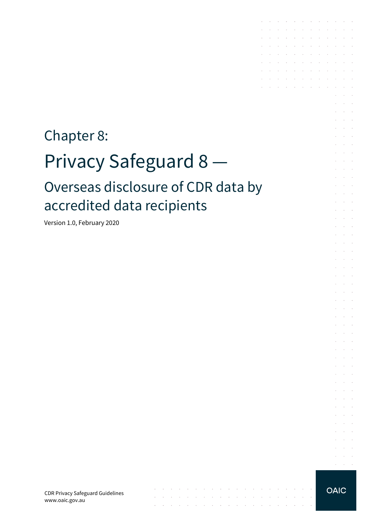# Chapter 8: Privacy Safeguard 8 — Overseas disclosure of CDR data by accredited data recipients

 $\mathcal{L}_{\mathcal{A}}$  . The contribution of the contribution of the contribution of the contribution of  $\mathcal{A}$ 

المنابعة المعارضة المتابعة المتابعة المتابعة المتابعة المتابعة المتابعة المتابعة المتابعة the contract of the contract of the contract of the

Version 1.0, February 2020

CDR Privacy Safeguard Guidelines www.oaic.gov.au



and a state of

the contract of the contract of the contract of and a series of the series of the series of the and a series of the contract of the contract of the contract of the contract of the the contract of the contract of the contract of and a series of the series of the series of the

the contract of the contract of the contract of

 $\sim$ **Contract Contract** and a state  $\bar{z}$  $\mathcal{L}^{\mathcal{L}}$  $\Delta\sim 10^{-1}$ **All Carried** 

 $\sim$  $\sim 10^{-10}$  km  $\mathcal{L}^{\text{max}}$  and  $\mathcal{L}^{\text{max}}$ 

**Contract** 

 $\mathcal{L}^{\text{max}}$ 

and the con- $\alpha$  ,  $\beta$  ,  $\alpha$  $\mathcal{L}^{\text{max}}(\mathcal{L}^{\text{max}})$ and the conand the control  $\mathcal{L}^{\text{max}}$  and  $\mathcal{L}^{\text{max}}$ 

and the control and a state  $\mathcal{L}_{\rm{c}}$ and a state **Service** State

**Service** State and the control

 $\Delta \sim 10^{11}$  m  $^{-1}$ and a state

 $\Delta\phi$  and  $\Delta\phi$  and  $\Delta\phi$ **Service** State

and the control

 $\alpha = \alpha + \beta$ 

 $\mathcal{L}^{\mathcal{A}}$  . The contribution of the contribution of the contribution of  $\mathcal{L}^{\mathcal{A}}$ and the company of the company of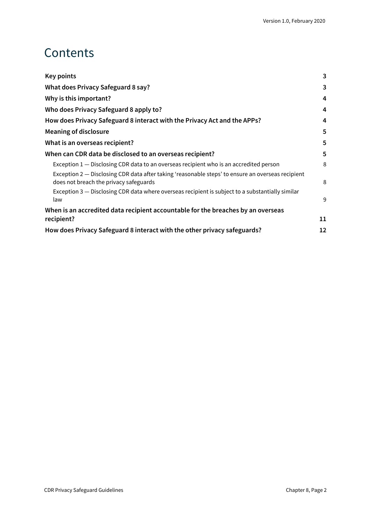# **Contents**

| Key points                                                                                                                                  | 3  |  |
|---------------------------------------------------------------------------------------------------------------------------------------------|----|--|
| What does Privacy Safeguard 8 say?                                                                                                          | 3  |  |
| Why is this important?                                                                                                                      | 4  |  |
| Who does Privacy Safeguard 8 apply to?                                                                                                      | 4  |  |
| How does Privacy Safeguard 8 interact with the Privacy Act and the APPs?                                                                    | 4  |  |
| <b>Meaning of disclosure</b>                                                                                                                | 5  |  |
| What is an overseas recipient?                                                                                                              | 5  |  |
| When can CDR data be disclosed to an overseas recipient?                                                                                    | 5  |  |
| Exception 1 – Disclosing CDR data to an overseas recipient who is an accredited person                                                      | 8  |  |
| Exception 2 – Disclosing CDR data after taking 'reasonable steps' to ensure an overseas recipient<br>does not breach the privacy safeguards | 8  |  |
| Exception 3 – Disclosing CDR data where overseas recipient is subject to a substantially similar<br>law                                     | 9  |  |
| When is an accredited data recipient accountable for the breaches by an overseas                                                            |    |  |
| recipient?                                                                                                                                  | 11 |  |
| How does Privacy Safeguard 8 interact with the other privacy safeguards?                                                                    |    |  |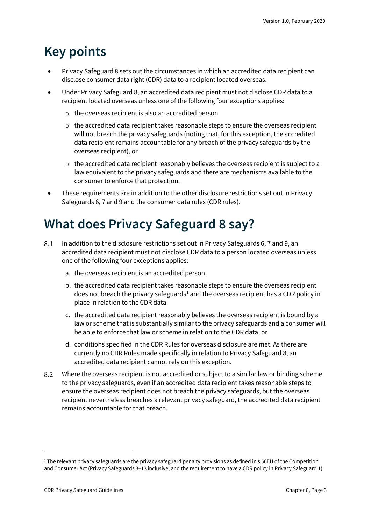# <span id="page-2-0"></span>**Key points**

- Privacy Safeguard 8 sets out the circumstances in which an accredited data recipient can disclose consumer data right (CDR) data to a recipient located overseas.
- Under Privacy Safeguard 8, an accredited data recipient must not disclose CDR data to a recipient located overseas unless one of the following four exceptions applies:
	- o the overseas recipient is also an accredited person
	- $\circ$  the accredited data recipient takes reasonable steps to ensure the overseas recipient will not breach the privacy safeguards (noting that, for this exception, the accredited data recipient remains accountable for any breach of the privacy safeguards by the overseas recipient), or
	- $\circ$  the accredited data recipient reasonably believes the overseas recipient is subject to a law equivalent to the privacy safeguards and there are mechanisms available to the consumer to enforce that protection.
- These requirements are in addition to the other disclosure restrictions set out in Privacy Safeguards 6, 7 and 9 and the consumer data rules (CDR rules).

# <span id="page-2-1"></span>**What does Privacy Safeguard 8 say?**

- In addition to the disclosure restrictions set out in Privacy Safeguards 6, 7 and 9, an 8.1 accredited data recipient must not disclose CDR data to a person located overseas unless one of the following four exceptions applies:
	- a. the overseas recipient is an accredited person
	- b. the accredited data recipient takes reasonable steps to ensure the overseas recipient does not breach the privacy safeguards<sup>[1](#page-2-2)</sup> and the overseas recipient has a CDR policy in place in relation to the CDR data
	- c. the accredited data recipient reasonably believes the overseas recipient is bound by a law or scheme that is substantially similar to the privacy safeguards and a consumer will be able to enforce that law or scheme in relation to the CDR data, or
	- d. conditions specified in the CDR Rules for overseas disclosure are met. As there are currently no CDR Rules made specifically in relation to Privacy Safeguard 8, an accredited data recipient cannot rely on this exception.
- 8.2 Where the overseas recipient is not accredited or subject to a similar law or binding scheme to the privacy safeguards, even if an accredited data recipient takes reasonable steps to ensure the overseas recipient does not breach the privacy safeguards, but the overseas recipient nevertheless breaches a relevant privacy safeguard, the accredited data recipient remains accountable for that breach.

<span id="page-2-2"></span> $1$  The relevant privacy safeguards are the privacy safeguard penalty provisions as defined in s 56EU of the Competition and Consumer Act (Privacy Safeguards 3–13 inclusive, and the requirement to have a CDR policy in Privacy Safeguard 1).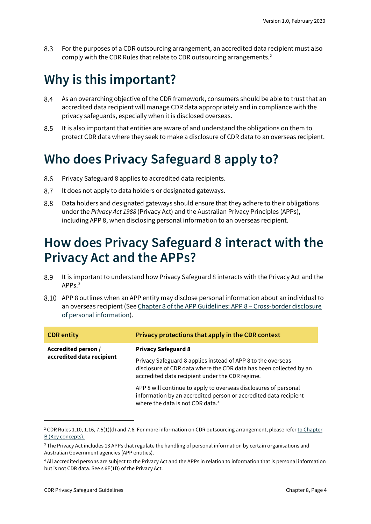8.3 For the purposes of a CDR outsourcing arrangement, an accredited data recipient must also comply with the CDR Rules that relate to CDR outsourcing arrangements.[2](#page-3-3)

# <span id="page-3-0"></span>**Why is this important?**

- 8.4 As an overarching objective of the CDR framework, consumers should be able to trust that an accredited data recipient will manage CDR data appropriately and in compliance with the privacy safeguards, especially when it is disclosed overseas.
- 8.5 It is also important that entities are aware of and understand the obligations on them to protect CDR data where they seek to make a disclosure of CDR data to an overseas recipient.

### <span id="page-3-1"></span>**Who does Privacy Safeguard 8 apply to?**

- Privacy Safeguard 8 applies to accredited data recipients. 8.6
- 8.7 It does not apply to data holders or designated gateways.
- 8.8 Data holders and designated gateways should ensure that they adhere to their obligations under the *Privacy Act 1988* (Privacy Act) and the Australian Privacy Principles (APPs), including APP 8, when disclosing personal information to an overseas recipient.

### <span id="page-3-2"></span>**How does Privacy Safeguard 8 interact with the Privacy Act and the APPs?**

- 8.9 It is important to understand how Privacy Safeguard 8 interacts with the Privacy Act and the APP<sub>S.[3](#page-3-4)</sub>
- APP 8 outlines when an APP entity may disclose personal information about an individual to an overseas recipient (Se[e Chapter 8 of the APP Guidelines: APP 8 –](https://www.oaic.gov.au/privacy/australian-privacy-principles-guidelines/chapter-8-app-8-cross-border-disclosure-of-personal-information/) Cross-border disclosure [of personal information\)](https://www.oaic.gov.au/privacy/australian-privacy-principles-guidelines/chapter-8-app-8-cross-border-disclosure-of-personal-information/).

| <b>CDR</b> entity                                | Privacy protections that apply in the CDR context                                                                                                                                     |
|--------------------------------------------------|---------------------------------------------------------------------------------------------------------------------------------------------------------------------------------------|
| Accredited person /<br>accredited data recipient | <b>Privacy Safeguard 8</b>                                                                                                                                                            |
|                                                  | Privacy Safeguard 8 applies instead of APP 8 to the overseas<br>disclosure of CDR data where the CDR data has been collected by an<br>accredited data recipient under the CDR regime. |
|                                                  | APP 8 will continue to apply to overseas disclosures of personal<br>information by an accredited person or accredited data recipient<br>where the data is not CDR data. <sup>4</sup>  |

<span id="page-3-3"></span><sup>&</sup>lt;sup>2</sup> CDR Rules 1.10, 1.16, 7.5(1)(d) and 7.6. For more information on CDR outsourcing arrangement, please refer to Chapter [B \(Key concepts\).](https://www.oaic.gov.au/consumer-data-right/cdr-privacy-safeguard-guidelines/chapter-b-key-concepts)

<span id="page-3-4"></span><sup>&</sup>lt;sup>3</sup> The Privacy Act includes 13 APPs that regulate the handling of personal information by certain organisations and Australian Government agencies (APP entities).

<span id="page-3-5"></span><sup>4</sup> All accredited persons are subject to the Privacy Act and the APPs in relation to information that is personal information but is not CDR data. See s 6E(1D) of the Privacy Act.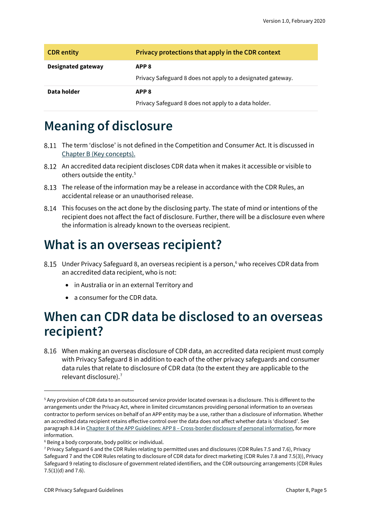| <b>CDR</b> entity         | Privacy protections that apply in the CDR context                               |
|---------------------------|---------------------------------------------------------------------------------|
| <b>Designated gateway</b> | APP <sub>8</sub><br>Privacy Safeguard 8 does not apply to a designated gateway. |
| Data holder               | APP <sub>8</sub><br>Privacy Safeguard 8 does not apply to a data holder.        |

# <span id="page-4-0"></span>**Meaning of disclosure**

- The term 'disclose' is not defined in the Competition and Consumer Act. It is discussed in [Chapter B \(Key concepts\).](https://www.oaic.gov.au/consumer-data-right/cdr-privacy-safeguard-guidelines/chapter-b-key-concepts)
- An accredited data recipient discloses CDR data when it makes it accessible or visible to others outside the entity.<sup>[5](#page-4-3)</sup>
- The release of the information may be a release in accordance with the CDR Rules, an accidental release or an unauthorised release.
- This focuses on the act done by the disclosing party. The state of mind or intentions of the recipient does not affect the fact of disclosure. Further, there will be a disclosure even where the information is already known to the overseas recipient.

# <span id="page-4-1"></span>**What is an overseas recipient?**

- 8.15 Under Privacy Safeguard 8, an overseas recipient is a person,<sup>[6](#page-4-4)</sup> who receives CDR data from an accredited data recipient, who is not:
	- in Australia or in an external Territory and
	- a consumer for the CDR data.

# <span id="page-4-2"></span>**When can CDR data be disclosed to an overseas recipient?**

When making an overseas disclosure of CDR data, an accredited data recipient must comply with Privacy Safeguard 8 in addition to each of the other privacy safeguards and consumer data rules that relate to disclosure of CDR data (to the extent they are applicable to the relevant disclosure).[7](#page-4-5)

<span id="page-4-3"></span><sup>5</sup> Any provision of CDR data to an outsourced service provider located overseas is a disclosure. This is different to the arrangements under the Privacy Act, where in limited circumstances providing personal information to an overseas contractor to perform services on behalf of an APP entity may be a use, rather than a disclosure of information. Whether an accredited data recipient retains effective control over the data does not affect whether data is 'disclosed'. See paragraph 8.14 in Chapter 8 of the APP Guidelines: APP 8 – [Cross-border disclosure of personal information,](https://www.oaic.gov.au/privacy/australian-privacy-principles-guidelines/chapter-8-app-8-cross-border-disclosure-of-personal-information/) for more information.

<span id="page-4-4"></span><sup>&</sup>lt;sup>6</sup> Being a body corporate, body politic or individual.

<span id="page-4-5"></span><sup>7</sup> Privacy Safeguard 6 and the CDR Rules relating to permitted uses and disclosures (CDR Rules 7.5 and 7.6), Privacy Safeguard 7 and the CDR Rules relating to disclosure of CDR data for direct marketing (CDR Rules 7.8 and 7.5(3)), Privacy Safeguard 9 relating to disclosure of government related identifiers, and the CDR outsourcing arrangements (CDR Rules 7.5(1)(d) and 7.6).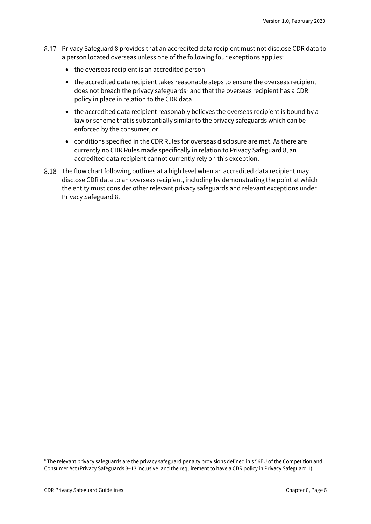- Privacy Safeguard 8 provides that an accredited data recipient must not disclose CDR data to a person located overseas unless one of the following four exceptions applies:
	- the overseas recipient is an accredited person
	- the accredited data recipient takes reasonable steps to ensure the overseas recipient does not breach the privacy safeguards $\delta$  and that the overseas recipient has a CDR policy in place in relation to the CDR data
	- the accredited data recipient reasonably believes the overseas recipient is bound by a law or scheme that is substantially similar to the privacy safeguards which can be enforced by the consumer, or
	- conditions specified in the CDR Rules for overseas disclosure are met. As there are currently no CDR Rules made specifically in relation to Privacy Safeguard 8, an accredited data recipient cannot currently rely on this exception.
- The flow chart following outlines at a high level when an accredited data recipient may disclose CDR data to an overseas recipient, including by demonstrating the point at which the entity must consider other relevant privacy safeguards and relevant exceptions under Privacy Safeguard 8.

<span id="page-5-0"></span><sup>8</sup> The relevant privacy safeguards are the privacy safeguard penalty provisions defined in s 56EU of the Competition and Consumer Act (Privacy Safeguards 3–13 inclusive, and the requirement to have a CDR policy in Privacy Safeguard 1).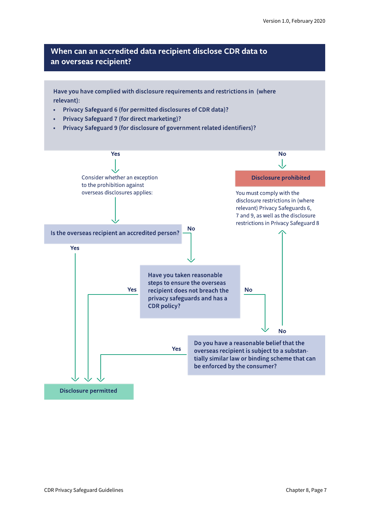#### When can an accredited data recipient disclose CDR data to an overseas recipient?

Have you have complied with disclosure requirements and restrictions in (where relevant):

- Privacy Safeguard 6 (for permitted disclosures of CDR data)?  $\bullet$
- Privacy Safeguard 7 (for direct marketing)?
- Privacy Safeguard 9 (for disclosure of government related identifiers)?

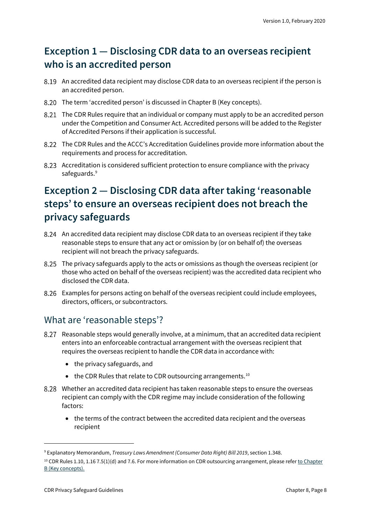### <span id="page-7-0"></span>**Exception 1 — Disclosing CDR data to an overseas recipient who is an accredited person**

- An accredited data recipient may disclose CDR data to an overseas recipient if the person is an accredited person.
- 8.20 The term 'accredited person' is discussed in Chapter B (Key concepts).
- The CDR Rules require that an individual or company must apply to be an accredited person under the Competition and Consumer Act. Accredited persons will be added to the Register of Accredited Persons if their application is successful.
- The CDR Rules and the ACCC's Accreditation Guidelines provide more information about the requirements and process for accreditation.
- Accreditation is considered sufficient protection to ensure compliance with the privacy safeguards.<sup>[9](#page-7-2)</sup>

### <span id="page-7-1"></span>**Exception 2 — Disclosing CDR data after taking 'reasonable steps' to ensure an overseas recipient does not breach the privacy safeguards**

- An accredited data recipient may disclose CDR data to an overseas recipient if they take reasonable steps to ensure that any act or omission by (or on behalf of) the overseas recipient will not breach the privacy safeguards.
- The privacy safeguards apply to the acts or omissions as though the overseas recipient (or those who acted on behalf of the overseas recipient) was the accredited data recipient who disclosed the CDR data.
- Examples for persons acting on behalf of the overseas recipient could include employees, directors, officers, or subcontractors.

#### What are 'reasonable steps'?

- Reasonable steps would generally involve, at a minimum, that an accredited data recipient enters into an enforceable contractual arrangement with the overseas recipient that requires the overseas recipient to handle the CDR data in accordance with:
	- the privacy safeguards, and
	- the CDR Rules that relate to CDR outsourcing arrangements.<sup>[10](#page-7-3)</sup>
- Whether an accredited data recipient has taken reasonable steps to ensure the overseas recipient can comply with the CDR regime may include consideration of the following factors:
	- the terms of the contract between the accredited data recipient and the overseas recipient

<span id="page-7-2"></span><sup>9</sup> Explanatory Memorandum, *Treasury Laws Amendment (Consumer Data Right) Bill 2019*, section 1.348.

<span id="page-7-3"></span> $10$  CDR Rules 1.10, 1.16 7.5(1)(d) and 7.6. For more information on CDR outsourcing arrangement, please refer to Chapter [B \(Key concepts\).](https://www.oaic.gov.au/consumer-data-right/cdr-privacy-safeguard-guidelines/chapter-b-key-concepts)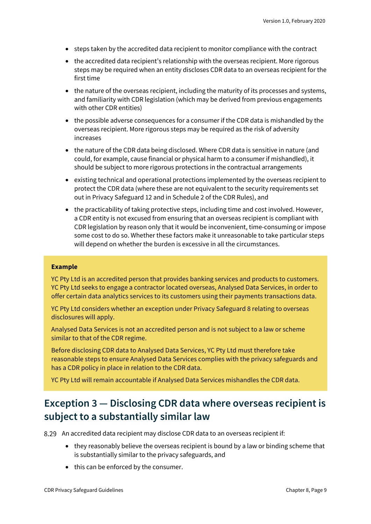- steps taken by the accredited data recipient to monitor compliance with the contract
- the accredited data recipient's relationship with the overseas recipient. More rigorous steps may be required when an entity discloses CDR data to an overseas recipient for the first time
- the nature of the overseas recipient, including the maturity of its processes and systems, and familiarity with CDR legislation (which may be derived from previous engagements with other CDR entities)
- the possible adverse consequences for a consumer if the CDR data is mishandled by the overseas recipient. More rigorous steps may be required as the risk of adversity increases
- the nature of the CDR data being disclosed. Where CDR data is sensitive in nature (and could, for example, cause financial or physical harm to a consumer if mishandled), it should be subject to more rigorous protections in the contractual arrangements
- existing technical and operational protections implemented by the overseas recipient to protect the CDR data (where these are not equivalent to the security requirements set out in Privacy Safeguard 12 and in Schedule 2 of the CDR Rules), and
- the practicability of taking protective steps, including time and cost involved. However, a CDR entity is not excused from ensuring that an overseas recipient is compliant with CDR legislation by reason only that it would be inconvenient, time-consuming or impose some cost to do so. Whether these factors make it unreasonable to take particular steps will depend on whether the burden is excessive in all the circumstances.

#### **Example**

YC Pty Ltd is an accredited person that provides banking services and products to customers. YC Pty Ltd seeks to engage a contractor located overseas, Analysed Data Services, in order to offer certain data analytics services to its customers using their payments transactions data.

YC Pty Ltd considers whether an exception under Privacy Safeguard 8 relating to overseas disclosures will apply.

Analysed Data Services is not an accredited person and is not subject to a law or scheme similar to that of the CDR regime.

Before disclosing CDR data to Analysed Data Services, YC Pty Ltd must therefore take reasonable steps to ensure Analysed Data Services complies with the privacy safeguards and has a CDR policy in place in relation to the CDR data.

YC Pty Ltd will remain accountable if Analysed Data Services mishandles the CDR data.

### <span id="page-8-0"></span>**Exception 3 — Disclosing CDR data where overseas recipient is subject to a substantially similar law**

An accredited data recipient may disclose CDR data to an overseas recipient if:

- they reasonably believe the overseas recipient is bound by a law or binding scheme that is substantially similar to the privacy safeguards, and
- this can be enforced by the consumer.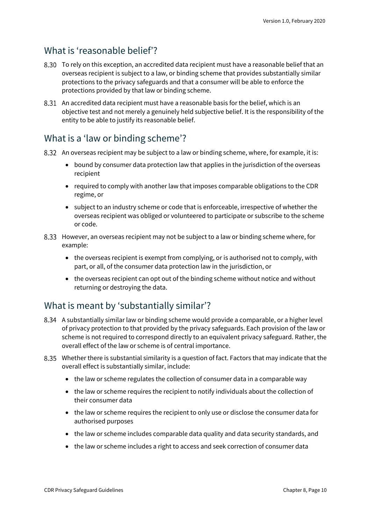#### What is 'reasonable belief'?

- To rely on this exception, an accredited data recipient must have a reasonable belief that an overseas recipient is subject to a law, or binding scheme that provides substantially similar protections to the privacy safeguards and that a consumer will be able to enforce the protections provided by that law or binding scheme.
- An accredited data recipient must have a reasonable basis for the belief, which is an objective test and not merely a genuinely held subjective belief. It is the responsibility of the entity to be able to justify its reasonable belief.

### What is a 'law or binding scheme'?

- 8.32 An overseas recipient may be subject to a law or binding scheme, where, for example, it is:
	- bound by consumer data protection law that applies in the jurisdiction of the overseas recipient
	- required to comply with another law that imposes comparable obligations to the CDR regime, or
	- subject to an industry scheme or code that is enforceable, irrespective of whether the overseas recipient was obliged or volunteered to participate or subscribe to the scheme or code.
- However, an overseas recipient may not be subject to a law or binding scheme where, for example:
	- the overseas recipient is exempt from complying, or is authorised not to comply, with part, or all, of the consumer data protection law in the jurisdiction, or
	- the overseas recipient can opt out of the binding scheme without notice and without returning or destroying the data.

### What is meant by 'substantially similar'?

- A substantially similar law or binding scheme would provide a comparable, or a higher level of privacy protection to that provided by the privacy safeguards. Each provision of the law or scheme is not required to correspond directly to an equivalent privacy safeguard. Rather, the overall effect of the law or scheme is of central importance.
- Whether there is substantial similarity is a question of fact. Factors that may indicate that the overall effect is substantially similar, include:
	- the law or scheme regulates the collection of consumer data in a comparable way
	- the law or scheme requires the recipient to notify individuals about the collection of their consumer data
	- the law or scheme requires the recipient to only use or disclose the consumer data for authorised purposes
	- the law or scheme includes comparable data quality and data security standards, and
	- the law or scheme includes a right to access and seek correction of consumer data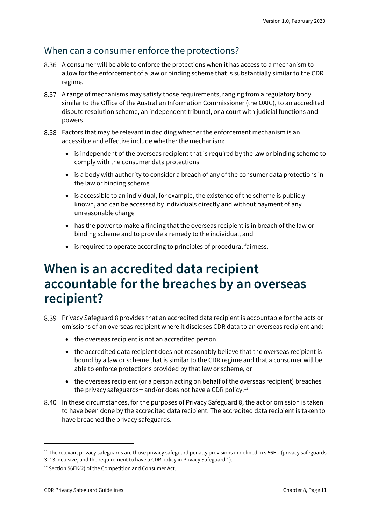#### When can a consumer enforce the protections?

- A consumer will be able to enforce the protections when it has access to a mechanism to allow for the enforcement of a law or binding scheme that is substantially similar to the CDR regime.
- A range of mechanisms may satisfy those requirements, ranging from a regulatory body similar to the Office of the Australian Information Commissioner (the OAIC), to an accredited dispute resolution scheme, an independent tribunal, or a court with judicial functions and powers.
- Factors that may be relevant in deciding whether the enforcement mechanism is an accessible and effective include whether the mechanism:
	- is independent of the overseas recipient that is required by the law or binding scheme to comply with the consumer data protections
	- is a body with authority to consider a breach of any of the consumer data protections in the law or binding scheme
	- is accessible to an individual, for example, the existence of the scheme is publicly known, and can be accessed by individuals directly and without payment of any unreasonable charge
	- has the power to make a finding that the overseas recipient is in breach of the law or binding scheme and to provide a remedy to the individual, and
	- is required to operate according to principles of procedural fairness.

### <span id="page-10-0"></span>**When is an accredited data recipient accountable for the breaches by an overseas recipient?**

- Privacy Safeguard 8 provides that an accredited data recipient is accountable for the acts or omissions of an overseas recipient where it discloses CDR data to an overseas recipient and:
	- the overseas recipient is not an accredited person
	- the accredited data recipient does not reasonably believe that the overseas recipient is bound by a law or scheme that is similar to the CDR regime and that a consumer will be able to enforce protections provided by that law or scheme, or
	- the overseas recipient (or a person acting on behalf of the overseas recipient) breaches the privacy safeguards<sup>[11](#page-10-1)</sup> and/or does not have a CDR policy.<sup>[12](#page-10-2)</sup>
- 8.40 In these circumstances, for the purposes of Privacy Safeguard 8, the act or omission is taken to have been done by the accredited data recipient. The accredited data recipient is taken to have breached the privacy safeguards.

<span id="page-10-1"></span><sup>&</sup>lt;sup>11</sup> The relevant privacy safeguards are those privacy safeguard penalty provisions in defined in s 56EU (privacy safeguards 3–13 inclusive, and the requirement to have a CDR policy in Privacy Safeguard 1).

<span id="page-10-2"></span><sup>12</sup> Section 56EK(2) of the Competition and Consumer Act.